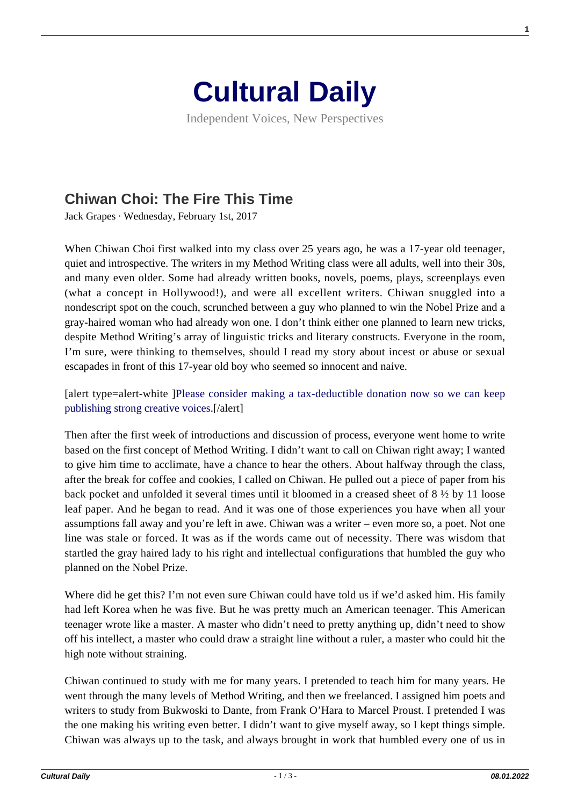

Independent Voices, New Perspectives

## **[Chiwan Choi: The Fire This Time](https://culturaldaily.com/chiwan-choi-fire-time/)**

Jack Grapes · Wednesday, February 1st, 2017

When Chiwan Choi first walked into my class over 25 years ago, he was a 17-year old teenager, quiet and introspective. The writers in my Method Writing class were all adults, well into their 30s, and many even older. Some had already written books, novels, poems, plays, screenplays even (what a concept in Hollywood!), and were all excellent writers. Chiwan snuggled into a nondescript spot on the couch, scrunched between a guy who planned to win the Nobel Prize and a gray-haired woman who had already won one. I don't think either one planned to learn new tricks, despite Method Writing's array of linguistic tricks and literary constructs. Everyone in the room, I'm sure, were thinking to themselves, should I read my story about incest or abuse or sexual escapades in front of this 17-year old boy who seemed so innocent and naive.

[alert type=alert-white ][Please consider making a tax-deductible donation now so we can keep](https://nextecho.org/donate/) [publishing strong creative voices.](https://nextecho.org/donate/)[/alert]

Then after the first week of introductions and discussion of process, everyone went home to write based on the first concept of Method Writing. I didn't want to call on Chiwan right away; I wanted to give him time to acclimate, have a chance to hear the others. About halfway through the class, after the break for coffee and cookies, I called on Chiwan. He pulled out a piece of paper from his back pocket and unfolded it several times until it bloomed in a creased sheet of 8 ½ by 11 loose leaf paper. And he began to read. And it was one of those experiences you have when all your assumptions fall away and you're left in awe. Chiwan was a writer – even more so, a poet. Not one line was stale or forced. It was as if the words came out of necessity. There was wisdom that startled the gray haired lady to his right and intellectual configurations that humbled the guy who planned on the Nobel Prize.

Where did he get this? I'm not even sure Chiwan could have told us if we'd asked him. His family had left Korea when he was five. But he was pretty much an American teenager. This American teenager wrote like a master. A master who didn't need to pretty anything up, didn't need to show off his intellect, a master who could draw a straight line without a ruler, a master who could hit the high note without straining.

Chiwan continued to study with me for many years. I pretended to teach him for many years. He went through the many levels of Method Writing, and then we freelanced. I assigned him poets and writers to study from Bukwoski to Dante, from Frank O'Hara to Marcel Proust. I pretended I was the one making his writing even better. I didn't want to give myself away, so I kept things simple. Chiwan was always up to the task, and always brought in work that humbled every one of us in

**1**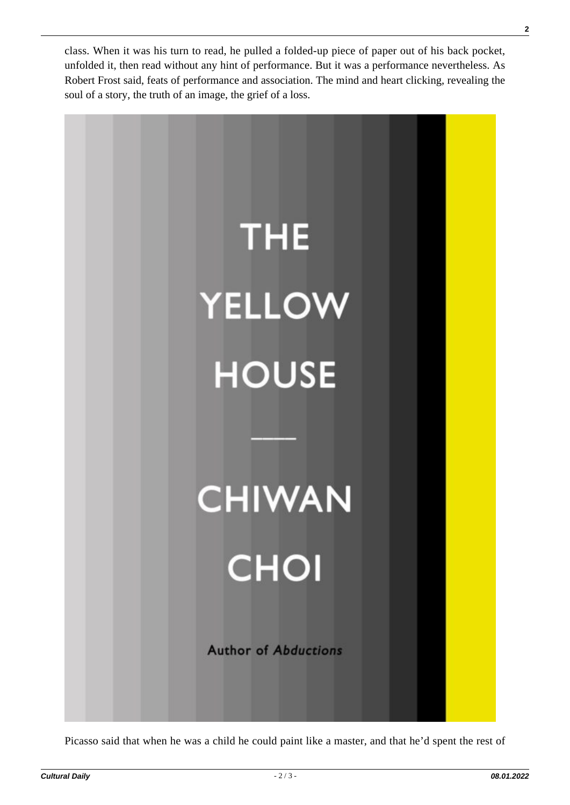class. When it was his turn to read, he pulled a folded-up piece of paper out of his back pocket, unfolded it, then read without any hint of performance. But it was a performance nevertheless. As Robert Frost said, feats of performance and association. The mind and heart clicking, revealing the soul of a story, the truth of an image, the grief of a loss.



Picasso said that when he was a child he could paint like a master, and that he'd spent the rest of